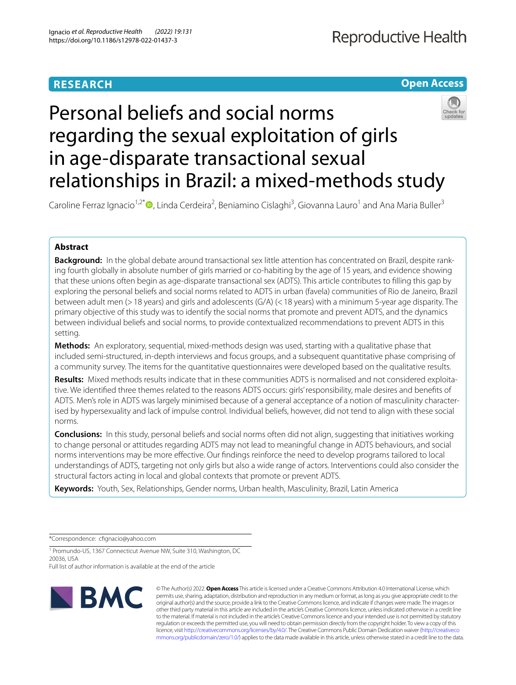# **RESEARCH**

# **Open Access**

# Personal beliefs and social norms regarding the sexual exploitation of girls in age-disparate transactional sexual relationships in Brazil: a mixed-methods study

Caroline Ferraz Ignacio<sup>1,2[\\*](http://orcid.org/0000-0001-5136-5358)</sup><sup>®</sup>, Linda Cerdeira<sup>2</sup>, Beniamino Cislaghi<sup>3</sup>, Giovanna Lauro<sup>1</sup> and Ana Maria Buller<sup>3</sup>

# **Abstract**

**Background:** In the global debate around transactional sex little attention has concentrated on Brazil, despite ranking fourth globally in absolute number of girls married or co-habiting by the age of 15 years, and evidence showing that these unions often begin as age-disparate transactional sex (ADTS). This article contributes to flling this gap by exploring the personal beliefs and social norms related to ADTS in urban (favela) communities of Rio de Janeiro, Brazil between adult men (>18 years) and girls and adolescents (G/A) (<18 years) with a minimum 5-year age disparity. The primary objective of this study was to identify the social norms that promote and prevent ADTS, and the dynamics between individual beliefs and social norms, to provide contextualized recommendations to prevent ADTS in this setting.

**Methods:** An exploratory, sequential, mixed-methods design was used, starting with a qualitative phase that included semi-structured, in-depth interviews and focus groups, and a subsequent quantitative phase comprising of a community survey. The items for the quantitative questionnaires were developed based on the qualitative results.

**Results:** Mixed methods results indicate that in these communities ADTS is normalised and not considered exploitative. We identifed three themes related to the reasons ADTS occurs: girls' responsibility, male desires and benefts of ADTS. Men's role in ADTS was largely minimised because of a general acceptance of a notion of masculinity characterised by hypersexuality and lack of impulse control. Individual beliefs, however, did not tend to align with these social norms.

**Conclusions:** In this study, personal beliefs and social norms often did not align, suggesting that initiatives working to change personal or attitudes regarding ADTS may not lead to meaningful change in ADTS behaviours, and social norms interventions may be more efective. Our fndings reinforce the need to develop programs tailored to local understandings of ADTS, targeting not only girls but also a wide range of actors. Interventions could also consider the structural factors acting in local and global contexts that promote or prevent ADTS.

**Keywords:** Youth, Sex, Relationships, Gender norms, Urban health, Masculinity, Brazil, Latin America

\*Correspondence: cfgnacio@yahoo.com

<sup>1</sup> Promundo-US, 1367 Connecticut Avenue NW, Suite 310, Washington, DC 20036, USA

Full list of author information is available at the end of the article



© The Author(s) 2022. **Open Access** This article is licensed under a Creative Commons Attribution 4.0 International License, which permits use, sharing, adaptation, distribution and reproduction in any medium or format, as long as you give appropriate credit to the original author(s) and the source, provide a link to the Creative Commons licence, and indicate if changes were made. The images or other third party material in this article are included in the article's Creative Commons licence, unless indicated otherwise in a credit line to the material. If material is not included in the article's Creative Commons licence and your intended use is not permitted by statutory regulation or exceeds the permitted use, you will need to obtain permission directly from the copyright holder. To view a copy of this licence, visit [http://creativecommons.org/licenses/by/4.0/.](http://creativecommons.org/licenses/by/4.0/) The Creative Commons Public Domain Dedication waiver ([http://creativeco](http://creativecommons.org/publicdomain/zero/1.0/) [mmons.org/publicdomain/zero/1.0/](http://creativecommons.org/publicdomain/zero/1.0/)) applies to the data made available in this article, unless otherwise stated in a credit line to the data.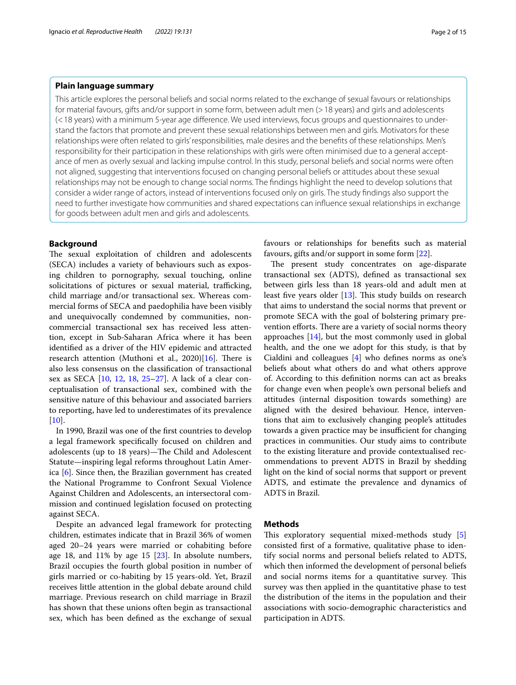# **Plain language summary**

This article explores the personal beliefs and social norms related to the exchange of sexual favours or relationships for material favours, gifts and/or support in some form, between adult men (>18 years) and girls and adolescents (<18 years) with a minimum 5-year age diference. We used interviews, focus groups and questionnaires to understand the factors that promote and prevent these sexual relationships between men and girls. Motivators for these relationships were often related to girls' responsibilities, male desires and the benefts of these relationships. Men's responsibility for their participation in these relationships with girls were often minimised due to a general acceptance of men as overly sexual and lacking impulse control. In this study, personal beliefs and social norms were often not aligned, suggesting that interventions focused on changing personal beliefs or attitudes about these sexual relationships may not be enough to change social norms. The fndings highlight the need to develop solutions that consider a wider range of actors, instead of interventions focused only on girls. The study fndings also support the need to further investigate how communities and shared expectations can infuence sexual relationships in exchange for goods between adult men and girls and adolescents.

#### **Background**

The sexual exploitation of children and adolescents (SECA) includes a variety of behaviours such as exposing children to pornography, sexual touching, online solicitations of pictures or sexual material, trafficking, child marriage and/or transactional sex. Whereas commercial forms of SECA and paedophilia have been visibly and unequivocally condemned by communities, noncommercial transactional sex has received less attention, except in Sub-Saharan Africa where it has been identifed as a driver of the HIV epidemic and attracted research attention (Muthoni et al.,  $2020$ )[\[16\]](#page-13-0). There is also less consensus on the classifcation of transactional sex as SECA [[10](#page-13-1), [12](#page-13-2), [18,](#page-13-3) [25–](#page-14-0)[27](#page-14-1)]. A lack of a clear conceptualisation of transactional sex, combined with the sensitive nature of this behaviour and associated barriers to reporting, have led to underestimates of its prevalence [[10\]](#page-13-1).

In 1990, Brazil was one of the frst countries to develop a legal framework specifcally focused on children and adolescents (up to 18 years)-The Child and Adolescent Statute—inspiring legal reforms throughout Latin America [\[6](#page-13-4)]. Since then, the Brazilian government has created the National Programme to Confront Sexual Violence Against Children and Adolescents, an intersectoral commission and continued legislation focused on protecting against SECA.

Despite an advanced legal framework for protecting children, estimates indicate that in Brazil 36% of women aged 20–24 years were married or cohabiting before age 18, and 11% by age 15 [[23\]](#page-14-2). In absolute numbers, Brazil occupies the fourth global position in number of girls married or co-habiting by 15 years-old. Yet, Brazil receives little attention in the global debate around child marriage. Previous research on child marriage in Brazil has shown that these unions often begin as transactional sex, which has been defned as the exchange of sexual favours or relationships for benefts such as material favours, gifts and/or support in some form [[22\]](#page-14-3).

The present study concentrates on age-disparate transactional sex (ADTS), defned as transactional sex between girls less than 18 years-old and adult men at least five years older  $[13]$  $[13]$ . This study builds on research that aims to understand the social norms that prevent or promote SECA with the goal of bolstering primary prevention efforts. There are a variety of social norms theory approaches  $[14]$  $[14]$  $[14]$ , but the most commonly used in global health, and the one we adopt for this study, is that by Cialdini and colleagues [\[4](#page-13-7)] who defnes norms as one's beliefs about what others do and what others approve of. According to this defnition norms can act as breaks for change even when people's own personal beliefs and attitudes (internal disposition towards something) are aligned with the desired behaviour. Hence, interventions that aim to exclusively changing people's attitudes towards a given practice may be insufficient for changing practices in communities. Our study aims to contribute to the existing literature and provide contextualised recommendations to prevent ADTS in Brazil by shedding light on the kind of social norms that support or prevent ADTS, and estimate the prevalence and dynamics of ADTS in Brazil.

### **Methods**

This exploratory sequential mixed-methods study [\[5](#page-13-8)] consisted frst of a formative, qualitative phase to identify social norms and personal beliefs related to ADTS, which then informed the development of personal beliefs and social norms items for a quantitative survey. This survey was then applied in the quantitative phase to test the distribution of the items in the population and their associations with socio-demographic characteristics and participation in ADTS.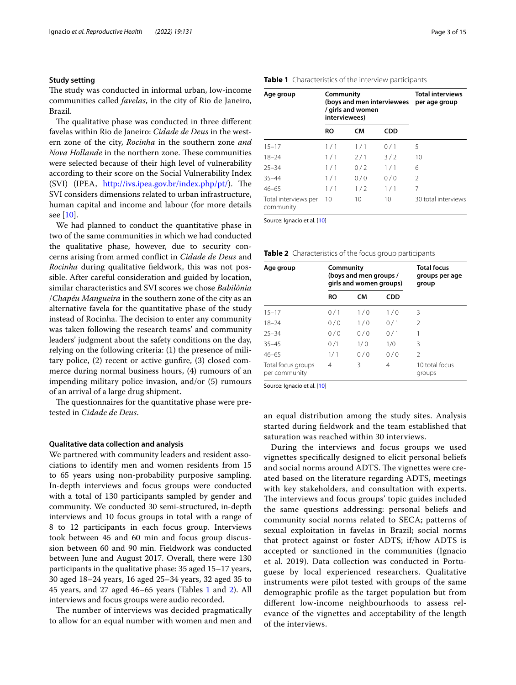## **Study setting**

The study was conducted in informal urban, low-income communities called *favelas*, in the city of Rio de Janeiro, Brazil.

The qualitative phase was conducted in three different favelas within Rio de Janeiro: *Cidade de Deus* in the western zone of the city, *Rocinha* in the southern zone *and Nova Hollande* in the northern zone. These communities were selected because of their high level of vulnerability according to their score on the Social Vulnerability Index (SVI) (IPEA, <http://ivs.ipea.gov.br/index.php/pt/>). The SVI considers dimensions related to urban infrastructure, human capital and income and labour (for more details see [\[10\]](#page-13-1).

We had planned to conduct the quantitative phase in two of the same communities in which we had conducted the qualitative phase, however, due to security concerns arising from armed confict in *Cidade de Deus* and *Rocinha* during qualitative feldwork, this was not possible. After careful consideration and guided by location, similar characteristics and SVI scores we chose *Babilônia* /*Chapéu Mangueira* in the southern zone of the city as an alternative favela for the quantitative phase of the study instead of Rocinha. The decision to enter any community was taken following the research teams' and community leaders' judgment about the safety conditions on the day, relying on the following criteria: (1) the presence of military police, (2) recent or active gunfre, (3) closed commerce during normal business hours, (4) rumours of an impending military police invasion, and/or (5) rumours of an arrival of a large drug shipment.

The questionnaires for the quantitative phase were pretested in *Cidade de Deus*.

#### **Qualitative data collection and analysis**

We partnered with community leaders and resident associations to identify men and women residents from 15 to 65 years using non-probability purposive sampling. In-depth interviews and focus groups were conducted with a total of 130 participants sampled by gender and community. We conducted 30 semi-structured, in-depth interviews and 10 focus groups in total with a range of 8 to 12 participants in each focus group. Interviews took between 45 and 60 min and focus group discussion between 60 and 90 min. Fieldwork was conducted between June and August 2017. Overall, there were 130 participants in the qualitative phase: 35 aged 15–17 years, 30 aged 18–24 years, 16 aged 25–34 years, 32 aged 35 to 45 years, and 27 aged 46–65 years (Tables [1](#page-2-0) and [2\)](#page-2-1). All interviews and focus groups were audio recorded.

The number of interviews was decided pragmatically to allow for an equal number with women and men and

<span id="page-2-0"></span>

| Age group                         | Community<br>interviewees) | (boys and men interviewees<br>/ girls and women | <b>Total interviews</b><br>per age group |                     |
|-----------------------------------|----------------------------|-------------------------------------------------|------------------------------------------|---------------------|
|                                   | RO                         | <b>CM</b>                                       | CDD                                      |                     |
| $15 - 17$                         | 1/1                        | 1/1                                             | 0/1                                      | 5                   |
| $18 - 24$                         | 1/1                        | 2/1                                             | 3/2                                      | 10                  |
| $25 - 34$                         | 1/1                        | 0/2                                             | 1/1                                      | 6                   |
| $35 - 44$                         | 1/1                        | 0/0                                             | 0/0                                      | $\mathcal{P}$       |
| $46 - 65$                         | 1/1                        | 1/2                                             | 1/1                                      | 7                   |
| Total interviews per<br>community | 10                         | 10                                              | 10                                       | 30 total interviews |

Source: Ignacio et al. [[10\]](#page-13-1)

<span id="page-2-1"></span>

|  | Table 2 Characteristics of the focus group participants |  |  |  |  |
|--|---------------------------------------------------------|--|--|--|--|
|--|---------------------------------------------------------|--|--|--|--|

| Age group                           | Community | (boys and men groups /<br>girls and women groups) | <b>Total focus</b><br>groups per age<br>group |                          |
|-------------------------------------|-----------|---------------------------------------------------|-----------------------------------------------|--------------------------|
|                                     | <b>RO</b> | СM                                                | <b>CDD</b>                                    |                          |
| $15 - 17$                           | 0/1       | 1/0                                               | 1/0                                           | 3                        |
| $18 - 24$                           | 0/0       | 1/0                                               | 0/1                                           | 2                        |
| $25 - 34$                           | 0/0       | 0/0                                               | 0/1                                           | 1                        |
| $35 - 45$                           | 0/1       | 1/0                                               | 1/0                                           | 3                        |
| $46 - 65$                           | 1/1       | 0/0                                               | 0/0                                           | $\mathcal{P}$            |
| Total focus groups<br>per community | 4         | 3                                                 | 4                                             | 10 total focus<br>groups |

Source: Ignacio et al. [[10\]](#page-13-1)

an equal distribution among the study sites. Analysis started during feldwork and the team established that saturation was reached within 30 interviews.

During the interviews and focus groups we used vignettes specifcally designed to elicit personal beliefs and social norms around ADTS. The vignettes were created based on the literature regarding ADTS, meetings with key stakeholders, and consultation with experts. The interviews and focus groups' topic guides included the same questions addressing: personal beliefs and community social norms related to SECA; patterns of sexual exploitation in favelas in Brazil; social norms that protect against or foster ADTS; if/how ADTS is accepted or sanctioned in the communities (Ignacio et al. 2019). Data collection was conducted in Portuguese by local experienced researchers. Qualitative instruments were pilot tested with groups of the same demographic profle as the target population but from diferent low-income neighbourhoods to assess relevance of the vignettes and acceptability of the length of the interviews.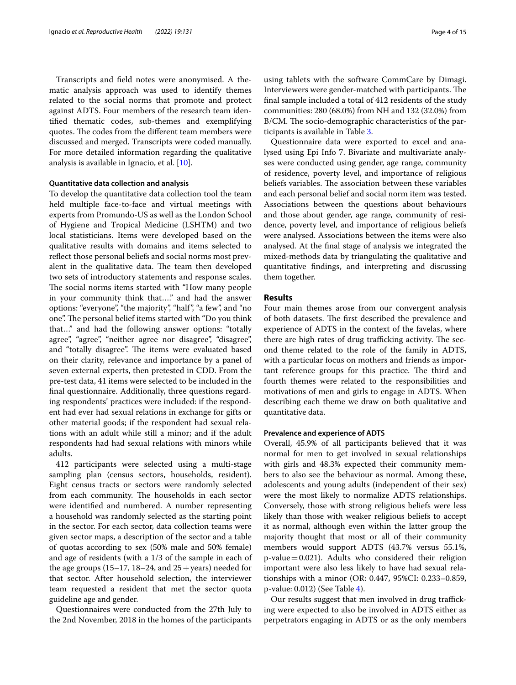Transcripts and feld notes were anonymised. A thematic analysis approach was used to identify themes related to the social norms that promote and protect against ADTS. Four members of the research team identifed thematic codes, sub-themes and exemplifying quotes. The codes from the different team members were discussed and merged. Transcripts were coded manually. For more detailed information regarding the qualitative analysis is available in Ignacio, et al. [\[10\]](#page-13-1).

#### **Quantitative data collection and analysis**

To develop the quantitative data collection tool the team held multiple face-to-face and virtual meetings with experts from Promundo-US as well as the London School of Hygiene and Tropical Medicine (LSHTM) and two local statisticians. Items were developed based on the qualitative results with domains and items selected to refect those personal beliefs and social norms most prevalent in the qualitative data. The team then developed two sets of introductory statements and response scales. The social norms items started with "How many people in your community think that…." and had the answer options: "everyone", "the majority", "half", "a few", and "no one". The personal belief items started with "Do you think" that…" and had the following answer options: "totally agree", "agree", "neither agree nor disagree", "disagree", and "totally disagree". The items were evaluated based on their clarity, relevance and importance by a panel of seven external experts, then pretested in CDD. From the pre-test data, 41 items were selected to be included in the fnal questionnaire. Additionally, three questions regarding respondents' practices were included: if the respondent had ever had sexual relations in exchange for gifts or other material goods; if the respondent had sexual relations with an adult while still a minor; and if the adult respondents had had sexual relations with minors while adults.

412 participants were selected using a multi-stage sampling plan (census sectors, households, resident). Eight census tracts or sectors were randomly selected from each community. The households in each sector were identifed and numbered. A number representing a household was randomly selected as the starting point in the sector. For each sector, data collection teams were given sector maps, a description of the sector and a table of quotas according to sex (50% male and 50% female) and age of residents (with a 1/3 of the sample in each of the age groups (15–17, 18–24, and  $25 + \text{years}$ ) needed for that sector. After household selection, the interviewer team requested a resident that met the sector quota guideline age and gender.

Questionnaires were conducted from the 27th July to the 2nd November, 2018 in the homes of the participants

using tablets with the software CommCare by Dimagi. Interviewers were gender-matched with participants. The fnal sample included a total of 412 residents of the study communities: 280 (68.0%) from NH and 132 (32.0%) from B/CM. The socio-demographic characteristics of the participants is available in Table [3](#page-4-0).

Questionnaire data were exported to excel and analysed using Epi Info 7. Bivariate and multivariate analyses were conducted using gender, age range, community of residence, poverty level, and importance of religious beliefs variables. The association between these variables and each personal belief and social norm item was tested. Associations between the questions about behaviours and those about gender, age range, community of residence, poverty level, and importance of religious beliefs were analysed. Associations between the items were also analysed. At the fnal stage of analysis we integrated the mixed-methods data by triangulating the qualitative and quantitative fndings, and interpreting and discussing them together.

## **Results**

Four main themes arose from our convergent analysis of both datasets. The first described the prevalence and experience of ADTS in the context of the favelas, where there are high rates of drug trafficking activity. The second theme related to the role of the family in ADTS, with a particular focus on mothers and friends as important reference groups for this practice. The third and fourth themes were related to the responsibilities and motivations of men and girls to engage in ADTS. When describing each theme we draw on both qualitative and quantitative data.

#### **Prevalence and experience of ADTS**

Overall, 45.9% of all participants believed that it was normal for men to get involved in sexual relationships with girls and 48.3% expected their community members to also see the behaviour as normal. Among these, adolescents and young adults (independent of their sex) were the most likely to normalize ADTS relationships. Conversely, those with strong religious beliefs were less likely than those with weaker religious beliefs to accept it as normal, although even within the latter group the majority thought that most or all of their community members would support ADTS (43.7% versus 55.1%,  $p$ -value = 0.021). Adults who considered their religion important were also less likely to have had sexual relationships with a minor (OR: 0.447, 95%CI: 0.233–0.859, p-value: 0.012) (See Table [4](#page-5-0)).

Our results suggest that men involved in drug trafficking were expected to also be involved in ADTS either as perpetrators engaging in ADTS or as the only members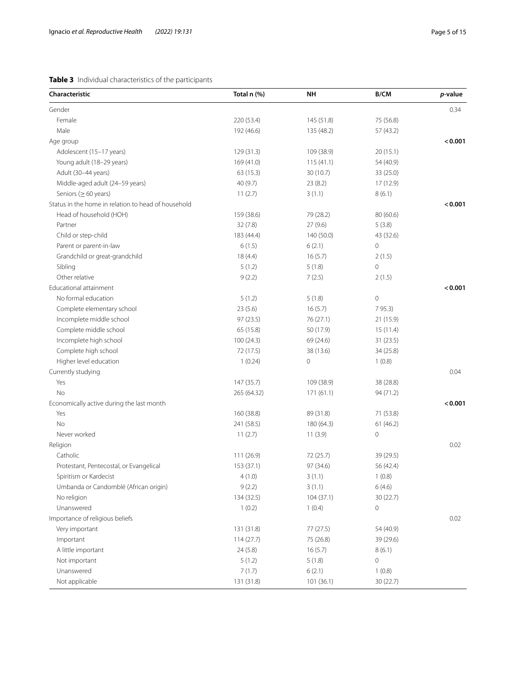# <span id="page-4-0"></span>**Table 3** Individual characteristics of the participants

| Characteristic                                      | Total n (%) | NΗ         | B/CM        | p-value |
|-----------------------------------------------------|-------------|------------|-------------|---------|
| Gender                                              |             |            |             | 0.34    |
| Female                                              | 220 (53.4)  | 145 (51.8) | 75 (56.8)   |         |
| Male                                                | 192 (46.6)  | 135 (48.2) | 57 (43.2)   |         |
| Age group                                           |             |            |             | < 0.001 |
| Adolescent (15-17 years)                            | 129 (31.3)  | 109 (38.9) | 20(15.1)    |         |
| Young adult (18-29 years)                           | 169 (41.0)  | 115(41.1)  | 54 (40.9)   |         |
| Adult (30-44 years)                                 | 63 (15.3)   | 30 (10.7)  | 33 (25.0)   |         |
| Middle-aged adult (24-59 years)                     | 40(9.7)     | 23 (8.2)   | 17 (12.9)   |         |
| Seniors ( $\geq 60$ years)                          | 11(2.7)     | 3(1.1)     | 8(6.1)      |         |
| Status in the home in relation to head of household |             |            |             | < 0.001 |
| Head of household (HOH)                             | 159 (38.6)  | 79 (28.2)  | 80 (60.6)   |         |
| Partner                                             | 32(7.8)     | 27 (9.6)   | 5(3.8)      |         |
| Child or step-child                                 | 183 (44.4)  | 140 (50.0) | 43 (32.6)   |         |
| Parent or parent-in-law                             | 6(1.5)      | 6(2.1)     | 0           |         |
| Grandchild or great-grandchild                      | 18(4.4)     | 16(5.7)    | 2(1.5)      |         |
| Sibling                                             | 5(1.2)      | 5(1.8)     | 0           |         |
| Other relative                                      | 9(2.2)      | 7(2.5)     | 2(1.5)      |         |
| Educational attainment                              |             |            |             | < 0.001 |
| No formal education                                 | 5(1.2)      | 5(1.8)     | $\mathbf 0$ |         |
| Complete elementary school                          | 23(5.6)     | 16(5.7)    | 7 95.3)     |         |
| Incomplete middle school                            | 97 (23.5)   | 76 (27.1)  | 21 (15.9)   |         |
| Complete middle school                              | 65 (15.8)   | 50 (17.9)  | 15(11.4)    |         |
| Incomplete high school                              | 100 (24.3)  | 69 (24.6)  | 31(23.5)    |         |
| Complete high school                                | 72 (17.5)   | 38 (13.6)  | 34 (25.8)   |         |
| Higher level education                              | 1(0.24)     | 0          | 1(0.8)      |         |
| Currently studying                                  |             |            |             | 0.04    |
| Yes                                                 | 147 (35.7)  | 109 (38.9) | 38 (28.8)   |         |
| No                                                  | 265 (64.32) | 171 (61.1) | 94 (71.2)   |         |
| Economically active during the last month           |             |            |             | < 0.001 |
| Yes                                                 | 160 (38.8)  | 89 (31.8)  | 71 (53.8)   |         |
| No                                                  | 241 (58.5)  | 180 (64.3) | 61(46.2)    |         |
| Never worked                                        | 11(2.7)     | 11(3.9)    | 0           |         |
| Religion                                            |             |            |             | 0.02    |
| Catholic                                            | 111 (26.9)  | 72 (25.7)  | 39 (29.5)   |         |
| Protestant, Pentecostal, or Evangelical             | 153 (37.1)  | 97 (34.6)  | 56 (42.4)   |         |
| Spiritism or Kardecist                              | 4(1.0)      | 3(1.1)     | 1(0.8)      |         |
| Umbanda or Candomblé (African origin)               | 9(2.2)      | 3(1.1)     | 6(4.6)      |         |
| No religion                                         | 134 (32.5)  | 104(37.1)  | 30 (22.7)   |         |
| Unanswered                                          | 1(0.2)      | 1(0.4)     | 0           |         |
| Importance of religious beliefs                     |             |            |             | 0.02    |
| Very important                                      | 131 (31.8)  | 77 (27.5)  | 54 (40.9)   |         |
| Important                                           | 114(27.7)   | 75 (26.8)  | 39 (29.6)   |         |
| A little important                                  | 24(5.8)     | 16(5.7)    | 8(6.1)      |         |
| Not important                                       | 5(1.2)      | 5(1.8)     | 0           |         |
| Unanswered                                          | 7(1.7)      | 6(2.1)     | 1(0.8)      |         |
| Not applicable                                      | 131 (31.8)  | 101(36.1)  | 30(22.7)    |         |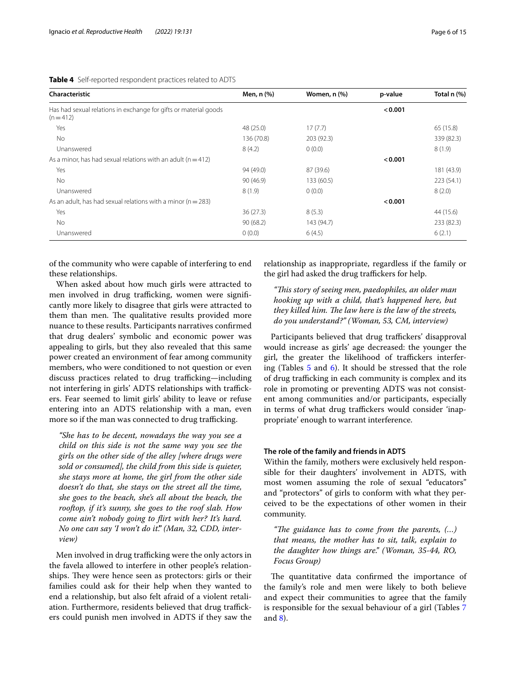<span id="page-5-0"></span>

|  |  |  |  | Table 4 Self-reported respondent practices related to ADTS |
|--|--|--|--|------------------------------------------------------------|
|--|--|--|--|------------------------------------------------------------|

| Characteristic                                                                | Men, n (%) | Women, n (%) | p-value | Total n (%) |
|-------------------------------------------------------------------------------|------------|--------------|---------|-------------|
| Has had sexual relations in exchange for gifts or material goods<br>$(n=412)$ |            |              | < 0.001 |             |
| Yes                                                                           | 48 (25.0)  | 17(7.7)      |         | 65 (15.8)   |
| No.                                                                           | 136 (70.8) | 203 (92.3)   |         | 339 (82.3)  |
| Unanswered                                                                    | 8(4.2)     | 0(0.0)       |         | 8(1.9)      |
| As a minor, has had sexual relations with an adult ( $n = 412$ )              |            |              | < 0.001 |             |
| Yes                                                                           | 94 (49.0)  | 87 (39.6)    |         | 181 (43.9)  |
| No.                                                                           | 90 (46.9)  | 133 (60.5)   |         | 223 (54.1)  |
| Unanswered                                                                    | 8(1.9)     | 0(0.0)       |         | 8(2.0)      |
| As an adult, has had sexual relations with a minor ( $n = 283$ )              |            |              | < 0.001 |             |
| Yes                                                                           | 36(27.3)   | 8(5.3)       |         | 44 (15.6)   |
| No.                                                                           | 90(68.2)   | 143 (94.7)   |         | 233 (82.3)  |
| Unanswered                                                                    | 0(0.0)     | 6(4.5)       |         | 6(2.1)      |

of the community who were capable of interfering to end these relationships.

When asked about how much girls were attracted to men involved in drug trafficking, women were significantly more likely to disagree that girls were attracted to them than men. The qualitative results provided more nuance to these results. Participants narratives confrmed that drug dealers' symbolic and economic power was appealing to girls, but they also revealed that this same power created an environment of fear among community members, who were conditioned to not question or even discuss practices related to drug trafficking-including not interfering in girls' ADTS relationships with traffickers. Fear seemed to limit girls' ability to leave or refuse entering into an ADTS relationship with a man, even more so if the man was connected to drug trafficking.

*"She has to be decent, nowadays the way you see a child on this side is not the same way you see the girls on the other side of the alley [where drugs were sold or consumed], the child from this side is quieter, she stays more at home, the girl from the other side doesn't do that, she stays on the street all the time, she goes to the beach, she's all about the beach, the rooftop, if it's sunny, she goes to the roof slab. How come ain't nobody going to firt with her? It's hard. No one can say 'I won't do it'." (Man, 32, CDD, interview)*

Men involved in drug trafficking were the only actors in the favela allowed to interfere in other people's relationships. They were hence seen as protectors: girls or their families could ask for their help when they wanted to end a relationship, but also felt afraid of a violent retaliation. Furthermore, residents believed that drug traffickers could punish men involved in ADTS if they saw the

relationship as inappropriate, regardless if the family or the girl had asked the drug traffickers for help.

*"Tis story of seeing men, paedophiles, an older man hooking up with a child, that's happened here, but they killed him. The law here is the law of the streets, do you understand?" (Woman, 53, CM, interview)*

Participants believed that drug traffickers' disapproval would increase as girls' age decreased: the younger the girl, the greater the likelihood of traffickers interfering (Tables [5](#page-6-0) and [6](#page-6-1)). It should be stressed that the role of drug trafficking in each community is complex and its role in promoting or preventing ADTS was not consistent among communities and/or participants, especially in terms of what drug traffickers would consider 'inappropriate' enough to warrant interference.

#### **The role of the family and friends in ADTS**

Within the family, mothers were exclusively held responsible for their daughters' involvement in ADTS, with most women assuming the role of sexual "educators" and "protectors" of girls to conform with what they perceived to be the expectations of other women in their community.

"The guidance has to come from the parents, (...) *that means, the mother has to sit, talk, explain to the daughter how things are." (Woman, 35-44, RO, Focus Group)*

The quantitative data confirmed the importance of the family's role and men were likely to both believe and expect their communities to agree that the family is responsible for the sexual behaviour of a girl (Tables [7](#page-7-0) and [8](#page-7-1)).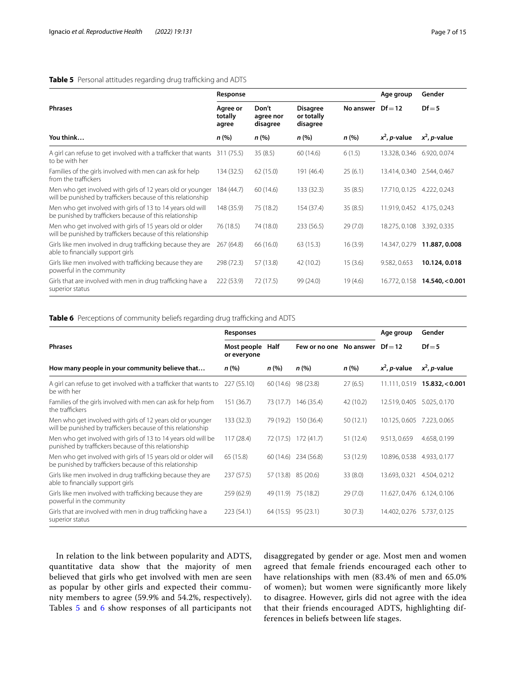# <span id="page-6-0"></span>**Table 5** Personal attitudes regarding drug trafficking and ADTS

|                                                                                                                            | Response                     |                                |                                           | Age group | Gender                     |                         |
|----------------------------------------------------------------------------------------------------------------------------|------------------------------|--------------------------------|-------------------------------------------|-----------|----------------------------|-------------------------|
| <b>Phrases</b>                                                                                                             | Agree or<br>totally<br>agree | Don't<br>agree nor<br>disagree | <b>Disagree</b><br>or totally<br>disagree | No answer | $Df = 12$                  | $Df = 5$                |
| You think                                                                                                                  | n (%)                        | n (%)                          | n(%)                                      | n (%)     | $x^2$ , <i>p</i> -value    | $x^2$ , <i>p</i> -value |
| A girl can refuse to get involved with a trafficker that wants 311 (75.5)<br>to be with her                                |                              | 35(8.5)                        | 60 (14.6)                                 | 6(1.5)    | 13.328, 0.346              | 6.920, 0.074            |
| Families of the girls involved with men can ask for help<br>from the traffickers                                           | 134 (32.5)                   | 62(15.0)                       | 191 (46.4)                                | 25(6.1)   | 13.414, 0.340              | 2.544, 0.467            |
| Men who get involved with girls of 12 years old or younger<br>will be punished by traffickers because of this relationship | 184 (44.7)                   | 60 (14.6)                      | 133(32.3)                                 | 35(8.5)   | 17.710, 0.125              | 4.222, 0.243            |
| Men who get involved with girls of 13 to 14 years old will<br>be punished by traffickers because of this relationship      | 148 (35.9)                   | 75 (18.2)                      | 154 (37.4)                                | 35(8.5)   | 11.919, 0.452 4.175, 0.243 |                         |
| Men who get involved with girls of 15 years old or older<br>will be punished by traffickers because of this relationship   | 76 (18.5)                    | 74 (18.0)                      | 233(56.5)                                 | 29(7.0)   | 18.275, 0.108              | 3.392, 0.335            |
| Girls like men involved in drug trafficking because they are<br>able to financially support girls                          | 267 (64.8)                   | 66 (16.0)                      | 63(15.3)                                  | 16(3.9)   | 14.347, 0.279              | 11.887, 0.008           |
| Girls like men involved with trafficking because they are<br>powerful in the community                                     | 298 (72.3)                   | 57 (13.8)                      | 42 (10.2)                                 | 15(3.6)   | 9.582, 0.653               | 10.124, 0.018           |
| Girls that are involved with men in drug trafficking have a<br>superior status                                             | 222 (53.9)                   | 72 (17.5)                      | 99 (24.0)                                 | 19(4.6)   | 16.772, 0.158              | 14.540, < 0.001         |

# <span id="page-6-1"></span>Table 6 Perceptions of community beliefs regarding drug trafficking and ADTS

|                                                                                                                            | Responses                  |                      |                      |           | Age group               | Gender                                   |
|----------------------------------------------------------------------------------------------------------------------------|----------------------------|----------------------|----------------------|-----------|-------------------------|------------------------------------------|
| <b>Phrases</b>                                                                                                             | Most people<br>or everyone | Half                 | Few or no one        | No answer | $Df = 12$               | $Df = 5$                                 |
| How many people in your community believe that                                                                             | $n (\%)$                   | n(%)                 | n(%)                 | n (%)     | $x^2$ , <i>p</i> -value | $x^2$ , <i>p</i> -value                  |
| A girl can refuse to get involved with a trafficker that wants to<br>be with her                                           | 227 (55.10)                |                      | 60 (14.6) 98 (23.8)  | 27(6.5)   |                         | $11.111, 0.519$ <b>15.832, &lt;0.001</b> |
| Families of the girls involved with men can ask for help from<br>the traffickers                                           | 151 (36.7)                 |                      | 73 (17.7) 146 (35.4) | 42 (10.2) | 12.519, 0.405           | 5.025, 0.170                             |
| Men who get involved with girls of 12 years old or younger<br>will be punished by traffickers because of this relationship | 133(32.3)                  |                      | 79 (19.2) 150 (36.4) | 50(12.1)  | 10.125, 0.605           | 7.223, 0.065                             |
| Men who get involved with girls of 13 to 14 years old will be<br>punished by traffickers because of this relationship      | 117(28.4)                  |                      | 72 (17.5) 172 (41.7) | 51 (12.4) | 9.513, 0.659            | 4.658, 0.199                             |
| Men who get involved with girls of 15 years old or older will<br>be punished by traffickers because of this relationship   | 65 (15.8)                  |                      | 60 (14.6) 234 (56.8) | 53 (12.9) | 10.896, 0.538           | 4.933, 0.177                             |
| Girls like men involved in drug trafficking because they are<br>able to financially support girls                          | 237 (57.5)                 |                      | 57 (13.8) 85 (20.6)  | 33(8.0)   | 13.693, 0.321           | 4.504, 0.212                             |
| Girls like men involved with trafficking because they are<br>powerful in the community                                     | 259(62.9)                  |                      | 49 (11.9) 75 (18.2)  | 29(7.0)   | 11.627, 0.476           | 6.124, 0.106                             |
| Girls that are involved with men in drug trafficking have a<br>superior status                                             | 223(54.1)                  | $64(15.5)$ 95 (23.1) |                      | 30(7.3)   | 14.402, 0.276           | 5.737, 0.125                             |

In relation to the link between popularity and ADTS, quantitative data show that the majority of men believed that girls who get involved with men are seen as popular by other girls and expected their community members to agree (59.9% and 54.2%, respectively). Tables [5](#page-6-0) and [6](#page-6-1) show responses of all participants not

disaggregated by gender or age. Most men and women agreed that female friends encouraged each other to have relationships with men (83.4% of men and 65.0% of women); but women were signifcantly more likely to disagree. However, girls did not agree with the idea that their friends encouraged ADTS, highlighting differences in beliefs between life stages.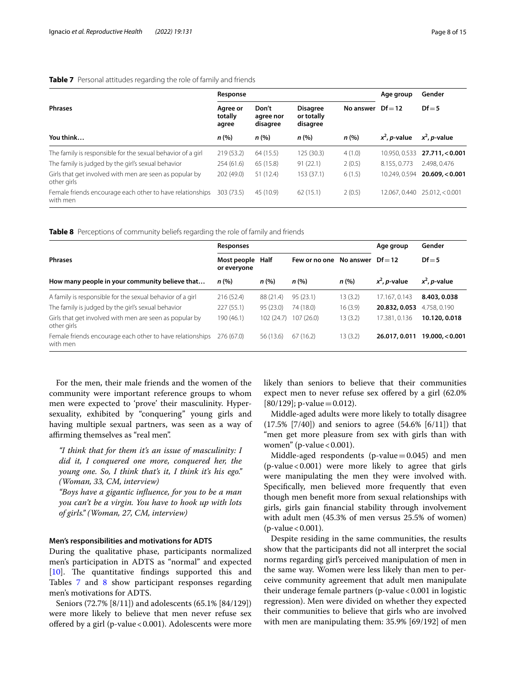# <span id="page-7-0"></span>**Table 7** Personal attitudes regarding the role of family and friends

|                                                                        | Response                     |                                | Age group                                 | Gender              |                         |                         |
|------------------------------------------------------------------------|------------------------------|--------------------------------|-------------------------------------------|---------------------|-------------------------|-------------------------|
| <b>Phrases</b>                                                         | Agree or<br>totally<br>agree | Don't<br>agree nor<br>disagree | <b>Disagree</b><br>or totally<br>disagree | No answer $Df = 12$ |                         | $Df = 5$                |
| You think                                                              | n (%)                        | n(%)                           | n (%)                                     | n(%)                | $x^2$ , <i>p</i> -value | $x^2$ , <i>p</i> -value |
| The family is responsible for the sexual behavior of a girl            | 219(53.2)                    | 64(15.5)                       | 125 (30.3)                                | 4(1.0)              | 10.950, 0.533           | 27.711, < 0.001         |
| The family is judged by the girl's sexual behavior                     | 254(61.6)                    | 65 (15.8)                      | 91(22.1)                                  | 2(0.5)              | 8.155, 0.773            | 2.498, 0.476            |
| Girls that get involved with men are seen as popular by<br>other girls | 202 (49.0)                   | 51 (12.4)                      | 153(37.1)                                 | 6(1.5)              | 10.249, 0.594           | 20.609 < 0.001          |
| Female friends encourage each other to have relationships<br>with men  | 303 (73.5)                   | 45 (10.9)                      | 62(15.1)                                  | 2(0.5)              | 12.067, 0.440           | $25.012 \times 0.001$   |

<span id="page-7-1"></span>**Table 8** Perceptions of community beliefs regarding the role of family and friends

|                                                                        | Responses                       |            |                         |          | Age group               | Gender                  |
|------------------------------------------------------------------------|---------------------------------|------------|-------------------------|----------|-------------------------|-------------------------|
| <b>Phrases</b>                                                         | Most people Half<br>or everyone |            | Few or no one No answer |          | $Df = 12$               | $Df = 5$                |
| How many people in your community believe that                         | n(%)                            | n(%)       | n(%)                    | n(%)     | $x^2$ , <i>p</i> -value | $x^2$ , <i>p</i> -value |
| A family is responsible for the sexual behavior of a girl              | 216(52.4)                       | 88 (21.4)  | 95(23.1)                | 13(3.2)  | 17.167.0.143            | 8.403, 0.038            |
| The family is judged by the girl's sexual behavior                     | 227(55.1)                       | 95(23.0)   | 74 (18.0)               | 16 (3.9) | 20.832, 0.053           | 4.758, 0.190            |
| Girls that get involved with men are seen as popular by<br>other girls | 190 (46.1)                      | 102 (24.7) | 107(26.0)               | 13 (3.2) | 17.381, 0.136           | 10.120, 0.018           |
| Female friends encourage each other to have relationships<br>with men  | 276 (67.0)                      | 56 (13.6)  | 67(16.2)                | 13(3.2)  | 26.017, 0.011           | 19.000 < 0.001          |

For the men, their male friends and the women of the community were important reference groups to whom men were expected to 'prove' their masculinity. Hypersexuality, exhibited by "conquering" young girls and having multiple sexual partners, was seen as a way of affirming themselves as "real men".

*"I think that for them it's an issue of masculinity: I did it, I conquered one more, conquered her, the young one. So, I think that's it, I think it's his ego." (Woman, 33, CM, interview)*

*"Boys have a gigantic infuence, for you to be a man you can't be a virgin. You have to hook up with lots of girls." (Woman, 27, CM, interview)*

#### **Men's responsibilities and motivations for ADTS**

During the qualitative phase, participants normalized men's participation in ADTS as "normal" and expected  $[10]$  $[10]$ . The quantitative findings supported this and Tables [7](#page-7-0) and [8](#page-7-1) show participant responses regarding men's motivations for ADTS.

Seniors (72.7% [8/11]) and adolescents (65.1% [84/129]) were more likely to believe that men never refuse sex offered by a girl (p-value < 0.001). Adolescents were more likely than seniors to believe that their communities expect men to never refuse sex ofered by a girl (62.0%  $[80/129]$ ; p-value = 0.012).

Middle-aged adults were more likely to totally disagree  $(17.5\%$   $[7/40]$ ) and seniors to agree  $(54.6\%$   $[6/11]$ ) that "men get more pleasure from sex with girls than with women" (p-value  $< 0.001$ ).

Middle-aged respondents (p-value $=0.045$ ) and men  $(p-value < 0.001)$  were more likely to agree that girls were manipulating the men they were involved with. Specifcally, men believed more frequently that even though men beneft more from sexual relationships with girls, girls gain fnancial stability through involvement with adult men (45.3% of men versus 25.5% of women)  $(p$ -value < 0.001).

Despite residing in the same communities, the results show that the participants did not all interpret the social norms regarding girl's perceived manipulation of men in the same way. Women were less likely than men to perceive community agreement that adult men manipulate their underage female partners (p-value<0.001 in logistic regression). Men were divided on whether they expected their communities to believe that girls who are involved with men are manipulating them: 35.9% [69/192] of men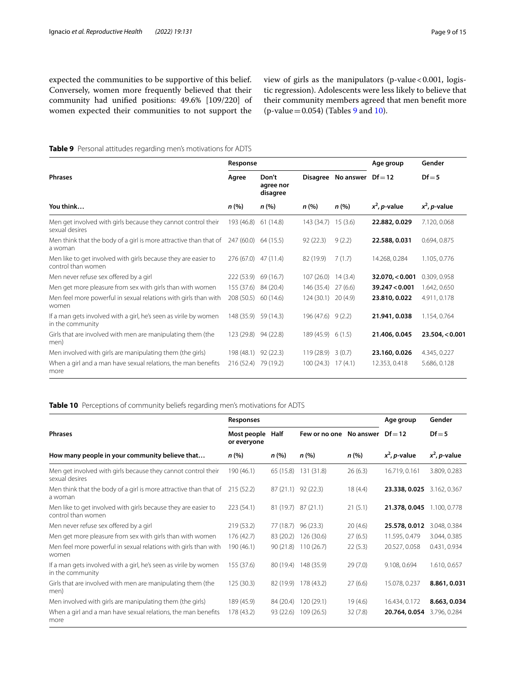expected the communities to be supportive of this belief. Conversely, women more frequently believed that their community had unifed positions: 49.6% [109/220] of women expected their communities to not support the

view of girls as the manipulators (p-value < 0.001, logistic regression). Adolescents were less likely to believe that their community members agreed that men beneft more (p-value =  $0.054$ ) (Tables [9](#page-8-0) and [10](#page-8-1)).

# <span id="page-8-0"></span>**Table 9** Personal attitudes regarding men's motivations for ADTS

|                                                                                      | Response             |                                |                      | Age group          | Gender                  |                         |
|--------------------------------------------------------------------------------------|----------------------|--------------------------------|----------------------|--------------------|-------------------------|-------------------------|
| <b>Phrases</b>                                                                       | Agree                | Don't<br>agree nor<br>disagree |                      | Disagree No answer | $Df = 12$               | $Df = 5$                |
| You think                                                                            | n (%)                | n (%)                          | n(%)                 | n(%)               | $x^2$ , <i>p</i> -value | $x^2$ , <i>p</i> -value |
| Men get involved with girls because they cannot control their<br>sexual desires      | 193 (46.8)           | 61(14.8)                       | 143 (34.7)           | 15(3.6)            | 22.882, 0.029           | 7.120, 0.068            |
| Men think that the body of a girl is more attractive than that of<br>a woman         | 247 (60.0) 64 (15.5) |                                | 92(22.3)             | 9(2.2)             | 22.588, 0.031           | 0.694, 0.875            |
| Men like to get involved with girls because they are easier to<br>control than women | 276 (67.0) 47 (11.4) |                                | 82 (19.9)            | 7(1.7)             | 14.268, 0.284           | 1.105, 0.776            |
| Men never refuse sex offered by a girl                                               | 222 (53.9) 69 (16.7) |                                | 107(26.0)            | 14(3.4)            | 32.070, < 0.001         | 0.309, 0.958            |
| Men get more pleasure from sex with girls than with women                            | 155 (37.6)           | 84 (20.4)                      | 146 (35.4)           | 27(6.6)            | 39.247 < 0.001          | 1.642, 0.650            |
| Men feel more powerful in sexual relations with girls than with<br>women             | 208 (50.5)           | 60(14.6)                       | 124(30.1)            | 20(4.9)            | 23.810, 0.022           | 4.911, 0.178            |
| If a man gets involved with a girl, he's seen as virile by women<br>in the community | 148 (35.9)           | 59 (14.3)                      | $196(47.6)$ $9(2.2)$ |                    | 21.941, 0.038           | 1.154, 0.764            |
| Girls that are involved with men are manipulating them (the<br>men)                  | 123 (29.8) 94 (22.8) |                                | $189(45.9)$ 6 (1.5)  |                    | 21.406, 0.045           | 23.504 < 0.001          |
| Men involved with girls are manipulating them (the girls)                            | 198 (48.1)           | 92(22.3)                       | 119(28.9)            | 3(0.7)             | 23.160, 0.026           | 4.345, 0.227            |
| When a girl and a man have sexual relations, the man benefits<br>more                | 216 (52.4) 79 (19.2) |                                | 100(24.3)            | 17(4.1)            | 12.353, 0.418           | 5.686, 0.128            |

# <span id="page-8-1"></span>**Table 10** Perceptions of community beliefs regarding men's motivations for ADTS

|                                                                                      | Responses                  |           |                                   |         | Age group               | Gender                  |  |
|--------------------------------------------------------------------------------------|----------------------------|-----------|-----------------------------------|---------|-------------------------|-------------------------|--|
| <b>Phrases</b>                                                                       | Most people<br>or everyone | Half      | Few or no one No answer $Df = 12$ |         |                         | $Df = 5$                |  |
| How many people in your community believe that                                       | n (%)                      | n (%)     | n(%)                              | n(%)    | $x^2$ , <i>p</i> -value | $x^2$ , <i>p</i> -value |  |
| Men get involved with girls because they cannot control their<br>sexual desires      | 190 (46.1)                 | 65 (15.8) | 131 (31.8)                        | 26(6.3) | 16.719, 0.161           | 3.809, 0.283            |  |
| Men think that the body of a girl is more attractive than that of<br>a woman         | 215(52.2)                  |           | 87 (21.1) 92 (22.3)               | 18(4.4) | 23.338, 0.025           | 3.162, 0.367            |  |
| Men like to get involved with girls because they are easier to<br>control than women | 223(54.1)                  |           | 81 (19.7) 87 (21.1)               | 21(5.1) | 21.378, 0.045           | 1.100, 0.778            |  |
| Men never refuse sex offered by a girl                                               | 219(53.2)                  | 77 (18.7) | 96 (23.3)                         | 20(4.6) | 25.578, 0.012           | 3.048, 0.384            |  |
| Men get more pleasure from sex with girls than with women                            | 176(42.7)                  | 83 (20.2) | 126 (30.6)                        | 27(6.5) | 11.595, 0.479           | 3.044, 0.385            |  |
| Men feel more powerful in sexual relations with girls than with<br>women             | 190 (46.1)                 | 90(21.8)  | 110(26.7)                         | 22(5.3) | 20.527, 0.058           | 0.431, 0.934            |  |
| If a man gets involved with a girl, he's seen as virile by women<br>in the community | 155 (37.6)                 | 80 (19.4) | 148 (35.9)                        | 29(7.0) | 9.108, 0.694            | 1.610, 0.657            |  |
| Girls that are involved with men are manipulating them (the<br>men)                  | 125(30.3)                  |           | 82 (19.9) 178 (43.2)              | 27(6.6) | 15.078, 0.237           | 8.861, 0.031            |  |
| Men involved with girls are manipulating them (the girls)                            | 189 (45.9)                 | 84 (20.4) | 120(29.1)                         | 19(4.6) | 16.434, 0.172           | 8.663, 0.034            |  |
| When a girl and a man have sexual relations, the man benefits<br>more                | 178 (43.2)                 | 93 (22.6) | 109(26.5)                         | 32(7.8) | 20.764, 0.054           | 3.796, 0.284            |  |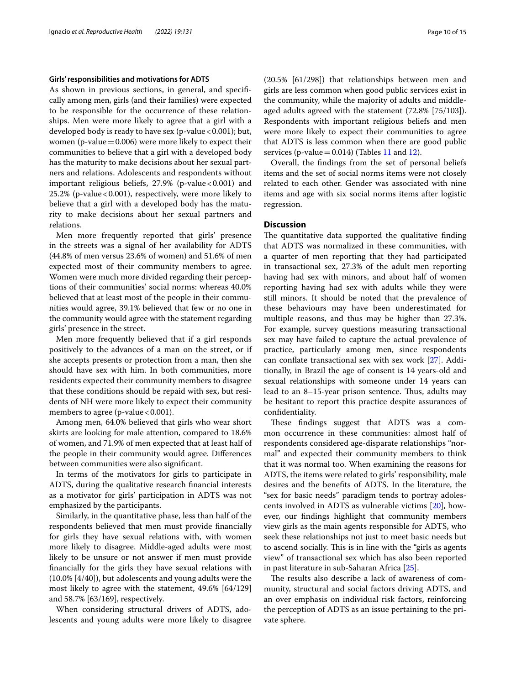#### **Girls' responsibilities and motivations for ADTS**

As shown in previous sections, in general, and specifcally among men, girls (and their families) were expected to be responsible for the occurrence of these relationships. Men were more likely to agree that a girl with a developed body is ready to have sex (p-value < 0.001); but, women (p-value $=0.006$ ) were more likely to expect their communities to believe that a girl with a developed body has the maturity to make decisions about her sexual partners and relations. Adolescents and respondents without important religious beliefs,  $27.9\%$  (p-value < 0.001) and 25.2% (p-value <  $0.001$ ), respectively, were more likely to believe that a girl with a developed body has the maturity to make decisions about her sexual partners and relations.

Men more frequently reported that girls' presence in the streets was a signal of her availability for ADTS (44.8% of men versus 23.6% of women) and 51.6% of men expected most of their community members to agree. Women were much more divided regarding their perceptions of their communities' social norms: whereas 40.0% believed that at least most of the people in their communities would agree, 39.1% believed that few or no one in the community would agree with the statement regarding girls' presence in the street.

Men more frequently believed that if a girl responds positively to the advances of a man on the street, or if she accepts presents or protection from a man, then she should have sex with him. In both communities, more residents expected their community members to disagree that these conditions should be repaid with sex, but residents of NH were more likely to expect their community members to agree (p-value  $< 0.001$ ).

Among men, 64.0% believed that girls who wear short skirts are looking for male attention, compared to 18.6% of women, and 71.9% of men expected that at least half of the people in their community would agree. Diferences between communities were also signifcant.

In terms of the motivators for girls to participate in ADTS, during the qualitative research fnancial interests as a motivator for girls' participation in ADTS was not emphasized by the participants.

Similarly, in the quantitative phase, less than half of the respondents believed that men must provide fnancially for girls they have sexual relations with, with women more likely to disagree. Middle-aged adults were most likely to be unsure or not answer if men must provide fnancially for the girls they have sexual relations with (10.0% [4/40]), but adolescents and young adults were the most likely to agree with the statement, 49.6% [64/129] and 58.7% [63/169], respectively.

When considering structural drivers of ADTS, adolescents and young adults were more likely to disagree (20.5% [61/298]) that relationships between men and girls are less common when good public services exist in the community, while the majority of adults and middleaged adults agreed with the statement (72.8% [75/103]). Respondents with important religious beliefs and men were more likely to expect their communities to agree that ADTS is less common when there are good public services (p-value  $= 0.014$ ) (Tables [11](#page-10-0) and [12\)](#page-10-1).

Overall, the fndings from the set of personal beliefs items and the set of social norms items were not closely related to each other. Gender was associated with nine items and age with six social norms items after logistic regression.

# **Discussion**

The quantitative data supported the qualitative finding that ADTS was normalized in these communities, with a quarter of men reporting that they had participated in transactional sex, 27.3% of the adult men reporting having had sex with minors, and about half of women reporting having had sex with adults while they were still minors. It should be noted that the prevalence of these behaviours may have been underestimated for multiple reasons, and thus may be higher than 27.3%. For example, survey questions measuring transactional sex may have failed to capture the actual prevalence of practice, particularly among men, since respondents can confate transactional sex with sex work [\[27](#page-14-1)]. Additionally, in Brazil the age of consent is 14 years-old and sexual relationships with someone under 14 years can lead to an 8–15-year prison sentence. Thus, adults may be hesitant to report this practice despite assurances of confdentiality.

These findings suggest that ADTS was a common occurrence in these communities: almost half of respondents considered age-disparate relationships "normal" and expected their community members to think that it was normal too. When examining the reasons for ADTS, the items were related to girls' responsibility, male desires and the benefts of ADTS. In the literature, the "sex for basic needs" paradigm tends to portray adolescents involved in ADTS as vulnerable victims [\[20](#page-13-9)], however, our fndings highlight that community members view girls as the main agents responsible for ADTS, who seek these relationships not just to meet basic needs but to ascend socially. This is in line with the "girls as agents" view" of transactional sex which has also been reported in past literature in sub-Saharan Africa [\[25](#page-14-0)].

The results also describe a lack of awareness of community, structural and social factors driving ADTS, and an over emphasis on individual risk factors, reinforcing the perception of ADTS as an issue pertaining to the private sphere.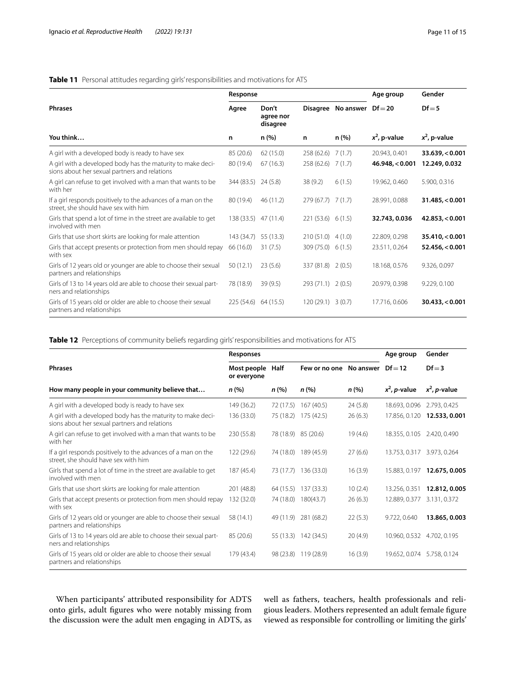# <span id="page-10-0"></span>**Table 11** Personal attitudes regarding girls' responsibilities and motivations for ATS

|                                                                                                              | Response             |                                |                     |                    | Age group       | Gender                   |
|--------------------------------------------------------------------------------------------------------------|----------------------|--------------------------------|---------------------|--------------------|-----------------|--------------------------|
| <b>Phrases</b>                                                                                               | Agree                | Don't<br>agree nor<br>disagree |                     | Disagree No answer | $Df = 20$       | $Df = 5$                 |
| You think                                                                                                    | n                    | n (%)                          | n                   | n (%)              | $x^2$ , p-value | $x^2$ , p-value          |
| A girl with a developed body is ready to have sex                                                            | 85 (20.6)            | 62 (15.0)                      | 258(62.6)           | 7(1.7)             | 20.943, 0.401   | 33.639, <sub>0.001</sub> |
| A girl with a developed body has the maturity to make deci-<br>sions about her sexual partners and relations | 80 (19.4)            | 67(16.3)                       | $258(62.6)$ 7 (1.7) |                    | 46.948 < 0.001  | 12.249, 0.032            |
| A girl can refuse to get involved with a man that wants to be<br>with her                                    | 344 (83.5) 24 (5.8)  |                                | 38(9.2)             | 6(1.5)             | 19.962, 0.460   | 5.900, 0.316             |
| If a girl responds positively to the advances of a man on the<br>street, she should have sex with him        | 80 (19.4)            | 46(11.2)                       | $279(67.7)$ 7 (1.7) |                    | 28.991, 0.088   | 31.485, <sub>0.001</sub> |
| Girls that spend a lot of time in the street are available to get<br>involved with men                       | 138 (33.5) 47 (11.4) |                                | 221(53.6) 6(1.5)    |                    | 32.743, 0.036   | 42.853 < 0.001           |
| Girls that use short skirts are looking for male attention                                                   | 143 (34.7)           | 55 (13.3)                      | $210(51.0)$ 4 (1.0) |                    | 22.809, 0.298   | 35.410, <sub>0.001</sub> |
| Girls that accept presents or protection from men should repay<br>with sex                                   | 66 (16.0)            | 31(7.5)                        | 309 (75.0) 6 (1.5)  |                    | 23.511, 0.264   | 52.456, <sub>0.001</sub> |
| Girls of 12 years old or younger are able to choose their sexual<br>partners and relationships               | 50(12.1)             | 23(5.6)                        | 337 (81.8) 2 (0.5)  |                    | 18.168, 0.576   | 9.326, 0.097             |
| Girls of 13 to 14 years old are able to choose their sexual part-<br>ners and relationships                  | 78 (18.9)            | 39(9.5)                        | 293 (71.1) 2 (0.5)  |                    | 20.979, 0.398   | 9.229, 0.100             |
| Girls of 15 years old or older are able to choose their sexual<br>partners and relationships                 | 225 (54.6) 64 (15.5) |                                | 120 (29.1) 3 (0.7)  |                    | 17.716, 0.606   | 30.433 < 0.001           |

<span id="page-10-1"></span>

| Table 12 Perceptions of community beliefs regarding girls' responsibilities and motivations for ATS |  |
|-----------------------------------------------------------------------------------------------------|--|
|                                                                                                     |  |

|                                                                                                              | Responses                  |           |                         |         | Age group                  | Gender                      |
|--------------------------------------------------------------------------------------------------------------|----------------------------|-----------|-------------------------|---------|----------------------------|-----------------------------|
| <b>Phrases</b>                                                                                               | Most people<br>or everyone | Half      | Few or no one No answer |         | $Df = 12$                  | $Df = 3$                    |
| How many people in your community believe that                                                               | n (%)                      | n(%)      | n(%)                    | n(%)    | $x^2$ , <i>p</i> -value    | $x^2$ , <i>p</i> -value     |
| A girl with a developed body is ready to have sex                                                            | 149 (36.2)                 | 72 (17.5) | 167 (40.5)              | 24(5.8) | 18.693, 0.096              | 2.793, 0.425                |
| A girl with a developed body has the maturity to make deci-<br>sions about her sexual partners and relations | 136 (33.0)                 | 75 (18.2) | 175 (42.5)              | 26(6.3) |                            | 17.856, 0.120 12.533, 0.001 |
| A girl can refuse to get involved with a man that wants to be<br>with her                                    | 230 (55.8)                 |           | 78 (18.9) 85 (20.6)     | 19(4.6) | 18.355, 0.105 2.420, 0.490 |                             |
| If a girl responds positively to the advances of a man on the<br>street, she should have sex with him        | 122 (29.6)                 |           | 74 (18.0) 189 (45.9)    | 27(6.6) | 13.753, 0.317 3.973, 0.264 |                             |
| Girls that spend a lot of time in the street are available to get<br>involved with men                       | 187 (45.4)                 |           | 73 (17.7) 136 (33.0)    | 16(3.9) | 15.883, 0.197              | 12.675, 0.005               |
| Girls that use short skirts are looking for male attention                                                   | 201 (48.8)                 | 64 (15.5) | 137 (33.3)              | 10(2.4) | 13.256, 0.351              | 12.812, 0.005               |
| Girls that accept presents or protection from men should repay<br>with sex                                   | 132 (32.0)                 |           | 74 (18.0) 180 (43.7)    | 26(6.3) | 12.889, 0.377              | 3.131, 0.372                |
| Girls of 12 years old or younger are able to choose their sexual<br>partners and relationships               | 58 (14.1)                  | 49 (11.9) | 281 (68.2)              | 22(5.3) | 9.722, 0.640               | 13.865, 0.003               |
| Girls of 13 to 14 years old are able to choose their sexual part-<br>ners and relationships                  | 85 (20.6)                  |           | 55 (13.3) 142 (34.5)    | 20(4.9) | 10.960, 0.532 4.702, 0.195 |                             |
| Girls of 15 years old or older are able to choose their sexual<br>partners and relationships                 | 179 (43.4)                 | 98 (23.8) | 119 (28.9)              | 16(3.9) | 19.652, 0.074 5.758, 0.124 |                             |

When participants' attributed responsibility for ADTS onto girls, adult fgures who were notably missing from the discussion were the adult men engaging in ADTS, as

well as fathers, teachers, health professionals and religious leaders. Mothers represented an adult female fgure viewed as responsible for controlling or limiting the girls'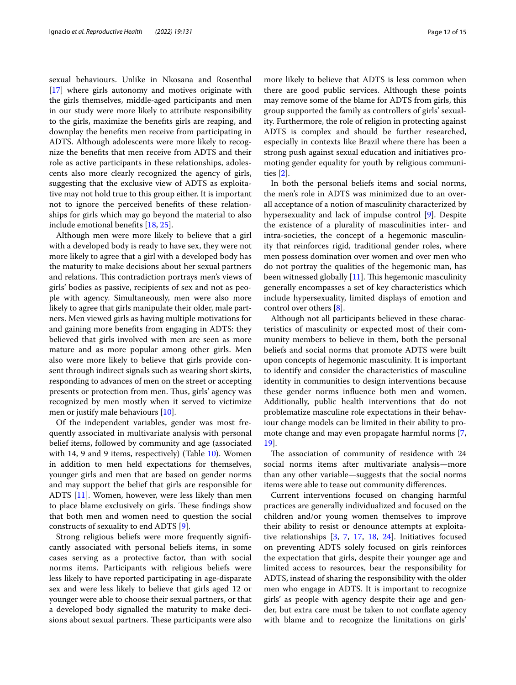sexual behaviours. Unlike in Nkosana and Rosenthal [[17\]](#page-13-10) where girls autonomy and motives originate with the girls themselves, middle-aged participants and men in our study were more likely to attribute responsibility to the girls, maximize the benefts girls are reaping, and downplay the benefts men receive from participating in ADTS. Although adolescents were more likely to recognize the benefts that men receive from ADTS and their role as active participants in these relationships, adolescents also more clearly recognized the agency of girls, suggesting that the exclusive view of ADTS as exploitative may not hold true to this group either. It is important not to ignore the perceived benefts of these relationships for girls which may go beyond the material to also include emotional benefts [\[18](#page-13-3), [25\]](#page-14-0).

Although men were more likely to believe that a girl with a developed body is ready to have sex, they were not more likely to agree that a girl with a developed body has the maturity to make decisions about her sexual partners and relations. This contradiction portrays men's views of girls' bodies as passive, recipients of sex and not as people with agency. Simultaneously, men were also more likely to agree that girls manipulate their older, male partners. Men viewed girls as having multiple motivations for and gaining more benefts from engaging in ADTS: they believed that girls involved with men are seen as more mature and as more popular among other girls. Men also were more likely to believe that girls provide consent through indirect signals such as wearing short skirts, responding to advances of men on the street or accepting presents or protection from men. Thus, girls' agency was recognized by men mostly when it served to victimize men or justify male behaviours [\[10](#page-13-1)].

Of the independent variables, gender was most frequently associated in multivariate analysis with personal belief items, followed by community and age (associated with 14, 9 and 9 items, respectively) (Table [10](#page-8-1)). Women in addition to men held expectations for themselves, younger girls and men that are based on gender norms and may support the belief that girls are responsible for ADTS [[11\]](#page-13-11). Women, however, were less likely than men to place blame exclusively on girls. These findings show that both men and women need to question the social constructs of sexuality to end ADTS [[9](#page-13-12)].

Strong religious beliefs were more frequently signifcantly associated with personal beliefs items, in some cases serving as a protective factor, than with social norms items. Participants with religious beliefs were less likely to have reported participating in age-disparate sex and were less likely to believe that girls aged 12 or younger were able to choose their sexual partners, or that a developed body signalled the maturity to make decisions about sexual partners. These participants were also more likely to believe that ADTS is less common when there are good public services. Although these points may remove some of the blame for ADTS from girls, this group supported the family as controllers of girls' sexuality. Furthermore, the role of religion in protecting against ADTS is complex and should be further researched, especially in contexts like Brazil where there has been a strong push against sexual education and initiatives promoting gender equality for youth by religious communities [\[2](#page-13-13)].

In both the personal beliefs items and social norms, the men's role in ADTS was minimized due to an overall acceptance of a notion of masculinity characterized by hypersexuality and lack of impulse control [\[9\]](#page-13-12). Despite the existence of a plurality of masculinities inter- and intra-societies, the concept of a hegemonic masculinity that reinforces rigid, traditional gender roles, where men possess domination over women and over men who do not portray the qualities of the hegemonic man, has been witnessed globally  $[11]$  $[11]$  $[11]$ . This hegemonic masculinity generally encompasses a set of key characteristics which include hypersexuality, limited displays of emotion and control over others [\[8\]](#page-13-14).

Although not all participants believed in these characteristics of masculinity or expected most of their community members to believe in them, both the personal beliefs and social norms that promote ADTS were built upon concepts of hegemonic masculinity. It is important to identify and consider the characteristics of masculine identity in communities to design interventions because these gender norms infuence both men and women. Additionally, public health interventions that do not problematize masculine role expectations in their behaviour change models can be limited in their ability to promote change and may even propagate harmful norms [\[7](#page-13-15), [19\]](#page-13-16).

The association of community of residence with 24 social norms items after multivariate analysis—more than any other variable—suggests that the social norms items were able to tease out community diferences.

Current interventions focused on changing harmful practices are generally individualized and focused on the children and/or young women themselves to improve their ability to resist or denounce attempts at exploitative relationships [[3,](#page-13-17) [7](#page-13-15), [17](#page-13-10), [18,](#page-13-3) [24\]](#page-14-4). Initiatives focused on preventing ADTS solely focused on girls reinforces the expectation that girls, despite their younger age and limited access to resources, bear the responsibility for ADTS, instead of sharing the responsibility with the older men who engage in ADTS. It is important to recognize girls' as people with agency despite their age and gender, but extra care must be taken to not confate agency with blame and to recognize the limitations on girls'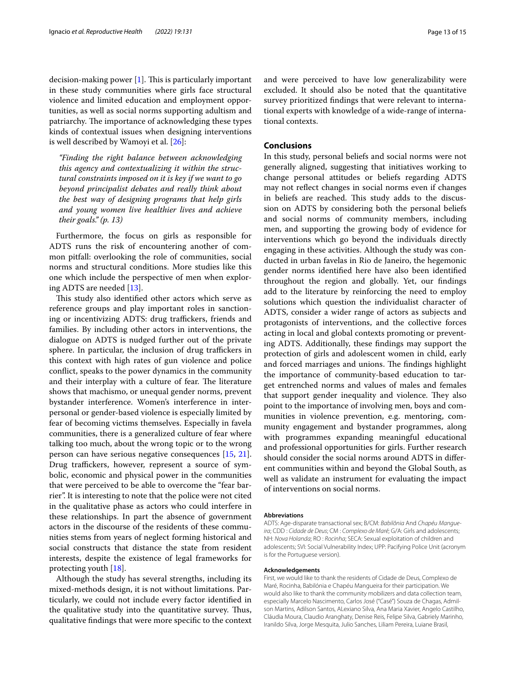decision-making power  $[1]$  $[1]$ . This is particularly important in these study communities where girls face structural violence and limited education and employment opportunities, as well as social norms supporting adultism and patriarchy. The importance of acknowledging these types kinds of contextual issues when designing interventions is well described by Wamoyi et al. [[26\]](#page-14-5):

*"Finding the right balance between acknowledging this agency and contextualizing it within the structural constraints imposed on it is key if we want to go beyond principalist debates and really think about the best way of designing programs that help girls and young women live healthier lives and achieve their goals." (p. 13)*

Furthermore, the focus on girls as responsible for ADTS runs the risk of encountering another of common pitfall: overlooking the role of communities, social norms and structural conditions. More studies like this one which include the perspective of men when exploring ADTS are needed [[13\]](#page-13-5).

This study also identified other actors which serve as reference groups and play important roles in sanctioning or incentivizing ADTS: drug traffickers, friends and families. By including other actors in interventions, the dialogue on ADTS is nudged further out of the private sphere. In particular, the inclusion of drug traffickers in this context with high rates of gun violence and police confict, speaks to the power dynamics in the community and their interplay with a culture of fear. The literature shows that machismo, or unequal gender norms, prevent bystander interference. Women's interference in interpersonal or gender-based violence is especially limited by fear of becoming victims themselves. Especially in favela communities, there is a generalized culture of fear where talking too much, about the wrong topic or to the wrong person can have serious negative consequences [\[15,](#page-13-19) [21](#page-13-20)]. Drug traffickers, however, represent a source of symbolic, economic and physical power in the communities that were perceived to be able to overcome the "fear barrier". It is interesting to note that the police were not cited in the qualitative phase as actors who could interfere in these relationships. In part the absence of government actors in the discourse of the residents of these communities stems from years of neglect forming historical and social constructs that distance the state from resident interests, despite the existence of legal frameworks for protecting youth [\[18](#page-13-3)].

Although the study has several strengths, including its mixed-methods design, it is not without limitations. Particularly, we could not include every factor identifed in the qualitative study into the quantitative survey. Thus, qualitative fndings that were more specifc to the context and were perceived to have low generalizability were excluded. It should also be noted that the quantitative survey prioritized fndings that were relevant to international experts with knowledge of a wide-range of international contexts.

## **Conclusions**

In this study, personal beliefs and social norms were not generally aligned, suggesting that initiatives working to change personal attitudes or beliefs regarding ADTS may not refect changes in social norms even if changes in beliefs are reached. This study adds to the discussion on ADTS by considering both the personal beliefs and social norms of community members, including men, and supporting the growing body of evidence for interventions which go beyond the individuals directly engaging in these activities. Although the study was conducted in urban favelas in Rio de Janeiro, the hegemonic gender norms identifed here have also been identifed throughout the region and globally. Yet, our fndings add to the literature by reinforcing the need to employ solutions which question the individualist character of ADTS, consider a wider range of actors as subjects and protagonists of interventions, and the collective forces acting in local and global contexts promoting or preventing ADTS. Additionally, these fndings may support the protection of girls and adolescent women in child, early and forced marriages and unions. The findings highlight the importance of community-based education to target entrenched norms and values of males and females that support gender inequality and violence. They also point to the importance of involving men, boys and communities in violence prevention, e.g. mentoring, community engagement and bystander programmes, along with programmes expanding meaningful educational and professional opportunities for girls. Further research should consider the social norms around ADTS in diferent communities within and beyond the Global South, as well as validate an instrument for evaluating the impact of interventions on social norms.

#### **Abbreviations**

ADTS: Age-disparate transactional sex; B/CM: *Babilônia* And *Chapéu Mangueira*; CDD : *Cidade de Deus*; CM : *Complexo de Maré*; G/A: Girls and adolescents; NH: *Nova Holanda*; RO : *Rocinha*; SECA: Sexual exploitation of children and adolescents; SVI: Social Vulnerability Index; UPP: Pacifying Police Unit (acronym is for the Portuguese version).

#### **Acknowledgements**

First, we would like to thank the residents of Cidade de Deus, Complexo de Maré, Rocinha, Babilónia e Chapéu Mangueira for their participation. We would also like to thank the community mobilizers and data collection team, especially Marcelo Nascimento, Carlos José ("Casé") Souza de Chagas, Admilson Martins, Adilson Santos, ALexiano Silva, Ana Maria Xavier, Angelo Castilho, Cláudia Moura, Claudio Aranghaty, Denise Reis, Felipe Silva, Gabriely Marinho, Iranildo Silva, Jorge Mesquita, Julio Sanches, Liliam Pereira, Luiane Brasil,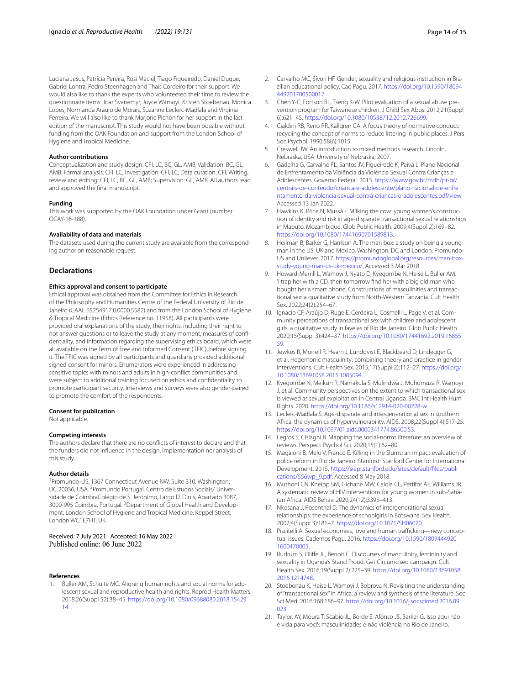Luciana Jesus, Patrícia Pereira, Rosi Maciel, Tiago Figueiredo, Daniel Duque, Gabriel Lontra, Pedro Steenhagen and Thais Cordeiro for their support. We would also like to thank the experts who volunteered their time to review the questionnaire items: Joar Svanemyr, Joyce Wamoyi, Kristen Stoebenau, Monica Lopes, Normanda Araujo de Morais, Suzanne Leclerc-Madlala and Virginia Ferreira. We will also like to thank Marjorie Pichon for her support in the last edition of the manuscript. This study would not have been possible without funding from the OAK Foundation and support from the London School of Hygiene and Tropical Medicine.

#### **Author contributions**

Conceptualization and study design: CFI, LC, BC, GL, AMB; Validation: BC, GL, AMB; Formal analysis: CFI, LC; Investigation: CFI, LC; Data curation: CFI; Writing, review and editing: CFI, LC, BC, GL, AMB; Supervision: GL, AMB. All authors read and approved the fnal manuscript.

#### **Funding**

This work was supported by the OAK Foundation under Grant (number OCAY-16-188).

#### **Availability of data and materials**

The datasets used during the current study are available from the corresponding author on reasonable request.

#### **Declarations**

#### **Ethics approval and consent to participate**

Ethical approval was obtained from the Committee for Ethics in Research of the Philosophy and Humanities Centre of the Federal University of Rio de Janeiro (CAAE 65254917.0.0000.5582) and from the London School of Hygiene & Tropical Medicine (Ethics Reference no. 11958). All participants were provided oral explanations of the study, their rights, including their right to not answer questions or to leave the study at any moment, measures of confdentiality, and information regarding the supervising ethics board, which were all available on the Term of Free and Informed Consent (TFIC), before signing it. The TFIC was signed by all participants and guardians provided additional signed consent for minors. Enumerators were experienced in addressing sensitive topics with minors and adults in high-confict communities and were subject to additional training focused on ethics and confdentiality to promote participant security. Interviews and surveys were also gender-paired to promote the comfort of the respondents.

#### **Consent for publication**

Not applicable.

#### **Competing interests**

The authors declare that there are no conficts of interest to declare and that the funders did not infuence in the design, implementation nor analysis of this study.

#### **Author details**

<sup>1</sup> Promundo-US, 1367 Connecticut Avenue NW, Suite 310, Washington, DC 20036, USA. <sup>2</sup> Promundo Portugal, Centro de Estudos Sociais/ Universidade de CoimbraColégio de S. Jerónimo, Largo D. Dinis, Apartado 3087, 3000-995 Coimbra, Portugal. <sup>3</sup> Department of Global Health and Development, London School of Hygiene and Tropical Medicine, Keppel Street, London WC1E7HT, UK.

Received: 7 July 2021 Accepted: 16 May 2022<br>Published online: 06 June 2022

#### **References**

<span id="page-13-18"></span>Buller AM, Schulte MC. Aligning human rights and social norms for adolescent sexual and reproductive health and rights. Reprod Health Matters. 2018;26(Suppl 52):38–45. [https://doi.org/10.1080/09688080.2018.15429](https://doi.org/10.1080/09688080.2018.1542914) [14](https://doi.org/10.1080/09688080.2018.1542914).

- <span id="page-13-13"></span>2. Carvalho MC, Sívori HF. Gender, sexuality and religious instruction in Brazilian educational policy. Cad Pagu. 2017. [https://doi.org/10.1590/18094](https://doi.org/10.1590/18094449201700500017) [449201700500017.](https://doi.org/10.1590/18094449201700500017)
- <span id="page-13-17"></span>3. Chen Y-C, Fortson BL, Tseng K-W. Pilot evaluation of a sexual abuse prevention program for Taiwanese children. J Child Sex Abus. 2012;21(Suppl 6):621–45. <https://doi.org/10.1080/10538712.2012.726699>.
- <span id="page-13-7"></span>4. Cialdini RB, Reno RR, Kallgren CA. A focus theory of normative conduct: recycling the concept of norms to reduce littering in public places. J Pers Soc Psychol. 1990;58(6):1015.
- <span id="page-13-8"></span>5. Creswell JW. An introduction to mixed methods research. Lincoln, Nebraska, USA: University of Nebraska; 2007.
- <span id="page-13-4"></span>6. Gadelha G, Carvalho FL, Santos JV, Figueiredo K, Paiva L. Plano Nacional de Enfrentamento da Violência da Violência Sexual Contra Crianças e Adolescentes. Governo Federal. 2013. [https://www.gov.br/mdh/pt-br/](https://www.gov.br/mdh/pt-br/centrais-de-conteudo/crianca-e-adolescente/plano-nacional-de-enfrentamento-da-violencia-sexual-contra-criancas-e-adolescentes.pdf/view) [centrais-de-conteudo/crianca-e-adolescente/plano-nacional-de-enfre](https://www.gov.br/mdh/pt-br/centrais-de-conteudo/crianca-e-adolescente/plano-nacional-de-enfrentamento-da-violencia-sexual-contra-criancas-e-adolescentes.pdf/view) [ntamento-da-violencia-sexual-contra-criancas-e-adolescentes.pdf/view.](https://www.gov.br/mdh/pt-br/centrais-de-conteudo/crianca-e-adolescente/plano-nacional-de-enfrentamento-da-violencia-sexual-contra-criancas-e-adolescentes.pdf/view) Accessed 13 Jan 2022.
- <span id="page-13-15"></span>7. Hawkins K, Price N, Mussá F. Milking the cow: young women's construction of identity and risk in age-disparate transactional sexual relationships in Maputo, Mozambique. Glob Public Health. 2009;4(Suppl 2):169–82. [https://doi.org/10.1080/17441690701589813.](https://doi.org/10.1080/17441690701589813)
- <span id="page-13-14"></span>8. Heilman B, Barker G, Harrison A. The man box: a study on being a young man in the US, UK and Mexico. Washington, DC and London. Promundo-US and Unilever. 2017. [https://promundoglobal.org/resources/man-box](https://promundoglobal.org/resources/man-box-study-young-man-us-uk-mexico/)[study-young-man-us-uk-mexico/.](https://promundoglobal.org/resources/man-box-study-young-man-us-uk-mexico/) Accessed 3 Mar 2018.
- <span id="page-13-12"></span>9. Howard-Merrill L, Wamoyi J, Nyato D, Kyegombe N, Heise L, Buller AM. 'I trap her with a CD, then tomorrow fnd her with a big old man who bought her a smart phone'. Constructions of masculinities and transactional sex: a qualitative study from North-Western Tanzania. Cult Health Sex. 2022;24(2):254–67.
- <span id="page-13-1"></span>10. Ignacio CF, Araújo D, Ruge E, Cerdeira L, Cosmelli L, Page V, et al. Community perceptions of transactional sex with children and adolescent girls, a qualitative study in favelas of Rio de Janeiro. Glob Public Health. 2020;15(Suppl 3):424–37. [https://doi.org/10.1080/17441692.2019.16855](https://doi.org/10.1080/17441692.2019.1685559) [59](https://doi.org/10.1080/17441692.2019.1685559).
- <span id="page-13-11"></span>11. Jewkes R, Morrell R, Hearn J, Lundqvist E, Blackbeard D, Lindegger G, et al. Hegemonic masculinity: combining theory and practice in gender interventions. Cult Health Sex. 2015;17(Suppl 2):112–27. [https://doi.org/](https://doi.org/10.1080/13691058.2015.1085094) [10.1080/13691058.2015.1085094.](https://doi.org/10.1080/13691058.2015.1085094)
- <span id="page-13-2"></span>12. Kyegombe N, Meiksin R, Namakula S, Mulindwa J, Muhumuza R, Wamoyi J, et al. Community perspectives on the extent to which transactional sex is viewed as sexual exploitation in Central Uganda. BMC Int Health Hum Rights. 2020. [https://doi.org/10.1186/s12914-020-00228-w.](https://doi.org/10.1186/s12914-020-00228-w)
- <span id="page-13-5"></span>13. Leclerc-Madlala S. Age-disparate and intergenerational sex in southern Africa: the dynamics of hypervulnerability. AIDS. 2008;22(Suppl 4):S17-25. <https://doi.org/10.1097/01.aids.0000341774.86500.53>.
- <span id="page-13-6"></span>14. Legros S, Cislaghi B. Mapping the social-norms literature: an overview of reviews. Perspect Psychol Sci. 2020;15(1):62–80.
- <span id="page-13-19"></span>15. Magaloni B, Melo V, Franco E. Killing in the Slums: an impact evaluation of police reform in Rio de Janeiro. Stanford: Stanford Center for International Development. 2015. [https://siepr.stanford.edu/sites/default/fles/publi](https://siepr.stanford.edu/sites/default/files/publications/556wp_9.pdf) [cations/556wp\\_9.pdf](https://siepr.stanford.edu/sites/default/files/publications/556wp_9.pdf). Accessed 8 May 2018.
- <span id="page-13-0"></span>16. Muthoni CN, Kneipp SM, Gichane MW, Caiola CE, Pettifor AE, Williams JR. A systematic review of HIV interventions for young women in sub-Saharan Africa. AIDS Behav. 2020;24(12):3395–413.
- <span id="page-13-10"></span>17. Nkosana J, Rosenthal D. The dynamics of intergenerational sexual relationships: the experience of schoolgirls in Botswana. Sex Health. 2007;4(Suppl 3):181–7. [https://doi.org/10.1071/SH06070.](https://doi.org/10.1071/SH06070)
- <span id="page-13-3"></span>18. Piscitelli A. Sexual economies, love and human trafficking—new conceptual issues. Cadernos Pagu. 2016. [https://doi.org/10.1590/1809444920](https://doi.org/10.1590/18094449201600470005) [1600470005](https://doi.org/10.1590/18094449201600470005).
- <span id="page-13-16"></span>19. Rudrum S, Olife JL, Benoit C. Discourses of masculinity, femininity and sexuality in Uganda's Stand Proud, Get Circumcised campaign. Cult Health Sex. 2016;19(Suppl 2):225–39. [https://doi.org/10.1080/13691058.](https://doi.org/10.1080/13691058.2016.1214748) [2016.1214748](https://doi.org/10.1080/13691058.2016.1214748).
- <span id="page-13-9"></span>20. Stoebenau K, Heise L, Wamoyi J, Bobrova N. Revisiting the understanding of "transactional sex" in Africa: a review and synthesis of the literature. Soc Sci Med. 2016;168:186–97. [https://doi.org/10.1016/j.socscimed.2016.09.](https://doi.org/10.1016/j.socscimed.2016.09.023) [023.](https://doi.org/10.1016/j.socscimed.2016.09.023)
- <span id="page-13-20"></span>21. Taylor, AY, Moura T, Scabio JL, Borde E, Afonso JS, Barker G. Isso aqui não é vida para você: masculinidades e não violência no Rio de Janeiro,